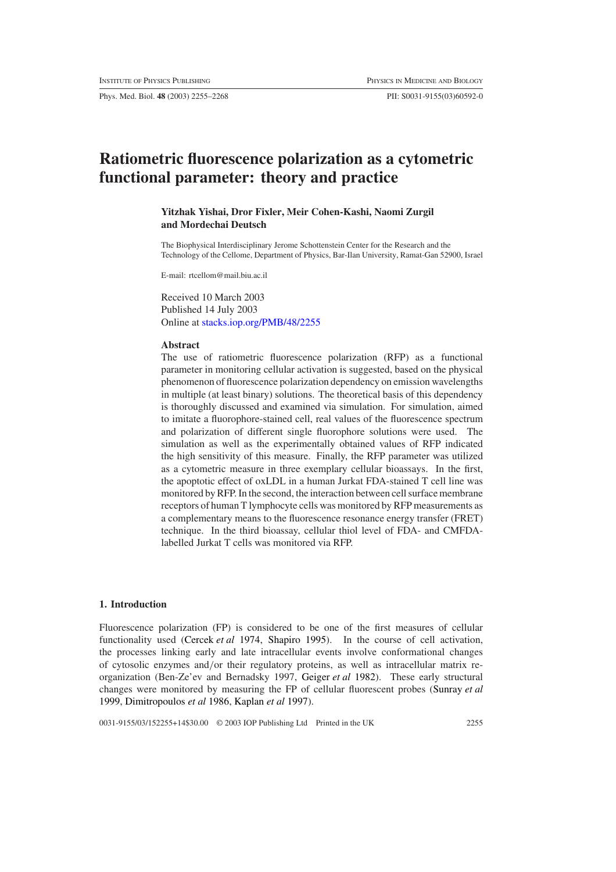Phys. Med. Biol. **48** (2003) 2255–2268 PII: S0031-9155(03)60592-0

# **Ratiometric fluorescence polarization as a cytometric functional parameter: theory and practice**

## **Yitzhak Yishai, Dror Fixler, Meir Cohen-Kashi, Naomi Zurgil and Mordechai Deutsch**

The Biophysical Interdisciplinary Jerome Schottenstein Center for the Research and the Technology of the Cellome, Department of Physics, Bar-Ilan University, Ramat-Gan 52900, Israel

E-mail: rtcellom@mail.biu.ac.il

Received 10 March 2003 Published 14 July 2003 Online at [stacks.iop.org/PMB/48/2255](http://stacks.iop.org/pb/48/2255)

#### **Abstract**

The use of ratiometric fluorescence polarization (RFP) as a functional parameter in monitoring cellular activation is suggested, based on the physical phenomenon of fluorescence polarization dependency on emission wavelengths in multiple (at least binary) solutions. The theoretical basis of this dependency is thoroughly discussed and examined via simulation. For simulation, aimed to imitate a fluorophore-stained cell, real values of the fluorescence spectrum and polarization of different single fluorophore solutions were used. The simulation as well as the experimentally obtained values of RFP indicated the high sensitivity of this measure. Finally, the RFP parameter was utilized as a cytometric measure in three exemplary cellular bioassays. In the first, the apoptotic effect of oxLDL in a human Jurkat FDA-stained T cell line was monitored by RFP. In the second, the interaction between cell surface membrane receptors of human T lymphocyte cells was monitored by RFP measurements as a complementary means to the fluorescence resonance energy transfer (FRET) technique. In the third bioassay, cellular thiol level of FDA- and CMFDAlabelled Jurkat T cells was monitored via RFP.

#### **1. Introduction**

Fluorescence polarization (FP) is considered to be one of the first measures of cellular functionality used [\(Cercek](#page-12-0) *et al* [1974](#page-12-0), [Shapiro 1995](#page-12-1)). In the course of cell activation, the processes linking early and late intracellular events involve conformational changes of cytosolic enzymes and*/*or their regulatory proteins, as well as intracellular matrix reorganization (Ben-Ze'ev and Bernadsky 1997, [Geiger](#page-12-2) *et al* [1982\)](#page-12-2). These early structural changes were monitored by measuring the FP of cellular fluorescent probes [\(Sunray](#page-12-3) *et al* [1999,](#page-12-3) [Dimitropoulos](#page-12-4) *et al* [1986](#page-12-4), [Kaplan](#page-12-5) *et al* [1997](#page-12-5)).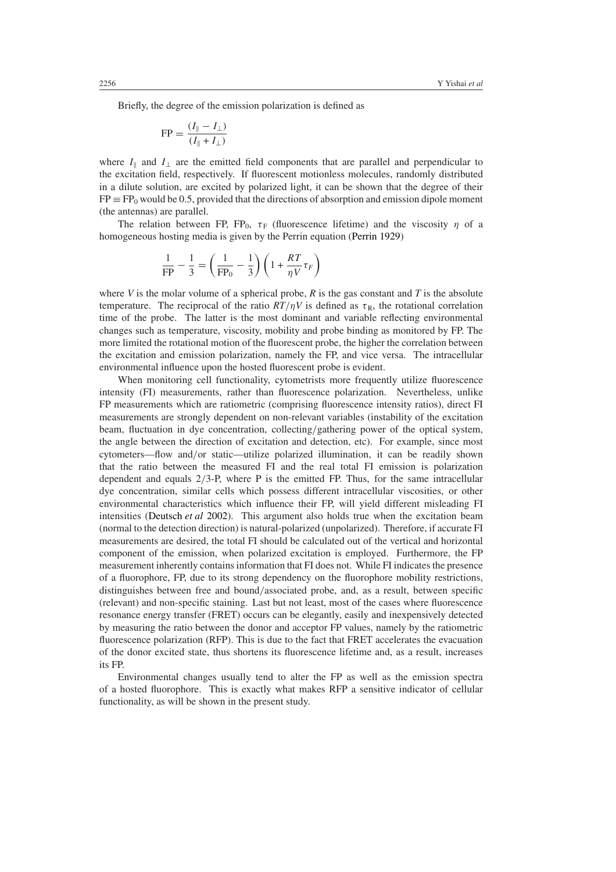Briefly, the degree of the emission polarization is defined as

$$
FP = \frac{(I_{\parallel} - I_{\perp})}{(I_{\parallel} + I_{\perp})}
$$

where  $I_{\parallel}$  and  $I_{\perp}$  are the emitted field components that are parallel and perpendicular to the excitation field, respectively. If fluorescent motionless molecules, randomly distributed in a dilute solution, are excited by polarized light, it can be shown that the degree of their  $FP \equiv FP_0$  would be 0.5, provided that the directions of absorption and emission dipole moment (the antennas) are parallel.

The relation between FP, FP<sub>0</sub>,  $\tau_F$  (fluorescence lifetime) and the viscosity  $\eta$  of a homogeneous hosting media is given by the Perrin equation [\(Perrin 1929\)](#page-12-6)

$$
\frac{1}{\text{FP}} - \frac{1}{3} = \left(\frac{1}{\text{FP}_0} - \frac{1}{3}\right) \left(1 + \frac{RT}{\eta V} \tau_F\right)
$$

where *V* is the molar volume of a spherical probe, *R* is the gas constant and *T* is the absolute temperature. The reciprocal of the ratio  $RT/\eta V$  is defined as  $\tau_R$ , the rotational correlation time of the probe. The latter is the most dominant and variable reflecting environmental changes such as temperature, viscosity, mobility and probe binding as monitored by FP. The more limited the rotational motion of the fluorescent probe, the higher the correlation between the excitation and emission polarization, namely the FP, and vice versa. The intracellular environmental influence upon the hosted fluorescent probe is evident.

When monitoring cell functionality, cytometrists more frequently utilize fluorescence intensity (FI) measurements, rather than fluorescence polarization. Nevertheless, unlike FP measurements which are ratiometric (comprising fluorescence intensity ratios), direct FI measurements are strongly dependent on non-relevant variables (instability of the excitation beam, fluctuation in dye concentration, collecting*/*gathering power of the optical system, the angle between the direction of excitation and detection, etc). For example, since most cytometers—flow and*/*or static—utilize polarized illumination, it can be readily shown that the ratio between the measured FI and the real total FI emission is polarization dependent and equals 2*/*3-P, where P is the emitted FP. Thus, for the same intracellular dye concentration, similar cells which possess different intracellular viscosities, or other environmental characteristics which influence their FP, will yield different misleading FI intensities [\(Deutsch](#page-12-7) *et al* [2002\)](#page-12-7). This argument also holds true when the excitation beam (normal to the detection direction) is natural-polarized (unpolarized). Therefore, if accurate FI measurements are desired, the total FI should be calculated out of the vertical and horizontal component of the emission, when polarized excitation is employed. Furthermore, the FP measurement inherently contains information that FI does not. While FI indicates the presence of a fluorophore, FP, due to its strong dependency on the fluorophore mobility restrictions, distinguishes between free and bound*/*associated probe, and, as a result, between specific (relevant) and non-specific staining. Last but not least, most of the cases where fluorescence resonance energy transfer (FRET) occurs can be elegantly, easily and inexpensively detected by measuring the ratio between the donor and acceptor FP values, namely by the ratiometric fluorescence polarization (RFP). This is due to the fact that FRET accelerates the evacuation of the donor excited state, thus shortens its fluorescence lifetime and, as a result, increases its FP.

Environmental changes usually tend to alter the FP as well as the emission spectra of a hosted fluorophore. This is exactly what makes RFP a sensitive indicator of cellular functionality, as will be shown in the present study.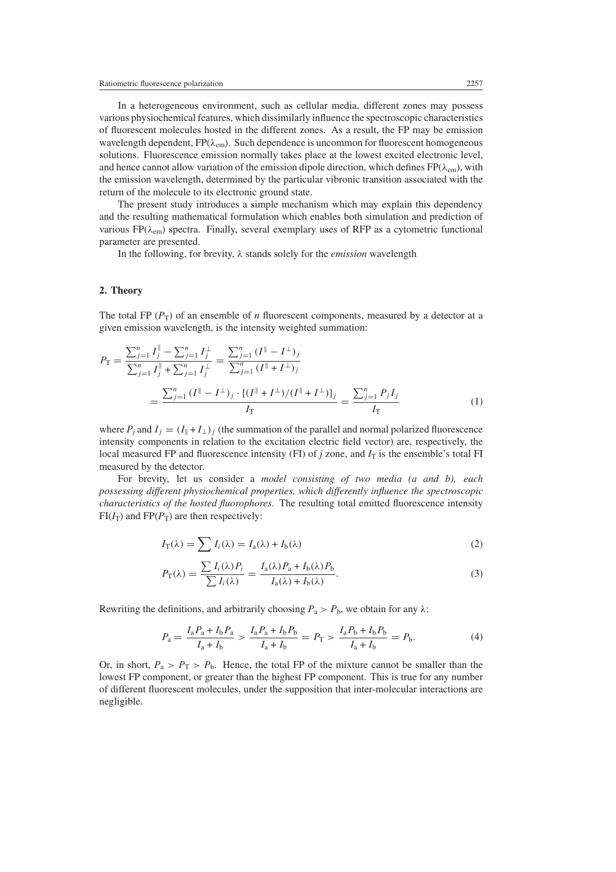In a heterogeneous environment, such as cellular media, different zones may possess various physiochemical features, which dissimilarly influence the spectroscopic characteristics of fluorescent molecules hosted in the different zones. As a result, the FP may be emission wavelength dependent, FP(*λ*em). Such dependence is uncommon for fluorescent homogeneous solutions. Fluorescence emission normally takes place at the lowest excited electronic level, and hence cannot allow variation of the emission dipole direction, which defines  $FP(\lambda_{em})$ , with the emission wavelength, determined by the particular vibronic transition associated with the return of the molecule to its electronic ground state.

The present study introduces a simple mechanism which may explain this dependency and the resulting mathematical formulation which enables both simulation and prediction of various FP( $\lambda_{\rm em}$ ) spectra. Finally, several exemplary uses of RFP as a cytometric functional parameter are presented.

In the following, for brevity, *λ* stands solely for the *emission* wavelength

#### **2. Theory**

The total FP  $(P_T)$  of an ensemble of *n* fluorescent components, measured by a detector at a given emission wavelength, is the intensity weighted summation:

$$
P_{\rm T} = \frac{\sum_{j=1}^{n} I_j^{\parallel} - \sum_{j=1}^{n} I_j^{\perp}}{\sum_{j=1}^{n} I_j^{\parallel} + \sum_{j=1}^{n} I_j^{\perp}} = \frac{\sum_{j=1}^{n} (I^{\parallel} - I^{\perp})_j}{\sum_{j=1}^{n} (I^{\parallel} + I^{\perp})_j}
$$

$$
= \frac{\sum_{j=1}^{n} (I^{\parallel} - I^{\perp})_j \cdot [(I^{\parallel} + I^{\perp})/(I^{\parallel} + I^{\perp})]_j}{I_{\rm T}} = \frac{\sum_{j=1}^{n} P_j I_j}{I_{\rm T}}
$$
(1)

where  $P_j$  and  $I_j = (I_{\parallel} + I_{\perp})_j$  (the summation of the parallel and normal polarized fluorescence intensity components in relation to the excitation electric field vector) are, respectively, the local measured FP and fluorescence intensity (FI) of  $j$  zone, and  $I_T$  is the ensemble's total FI measured by the detector.

<span id="page-2-1"></span>For brevity, let us consider a *model consisting of two media (a and b), each possessing different physiochemical properties, which differently influence the spectroscopic characteristics of the hosted fluorophores*. The resulting total emitted fluorescence intensity  $FI(I_T)$  and  $FP(P_T)$  are then respectively:

$$
I_{\mathcal{T}}(\lambda) = \sum I_i(\lambda) = I_a(\lambda) + I_b(\lambda)
$$
\n(2)

$$
P_{\rm T}(\lambda) = \frac{\sum I_i(\lambda) P_i}{\sum I_i(\lambda)} = \frac{I_a(\lambda) P_a + I_b(\lambda) P_b}{I_a(\lambda) + I_b(\lambda)}.
$$
\n(3)

<span id="page-2-0"></span>Rewriting the definitions, and arbitrarily choosing  $P_a > P_b$ , we obtain for any  $\lambda$ :

$$
P_{\rm a} = \frac{I_{\rm a}P_{\rm a} + I_{\rm b}P_{\rm a}}{I_{\rm a} + I_{\rm b}} > \frac{I_{\rm a}P_{\rm a} + I_{\rm b}P_{\rm b}}{I_{\rm a} + I_{\rm b}} = P_{\rm T} > \frac{I_{\rm a}P_{\rm b} + I_{\rm b}P_{\rm b}}{I_{\rm a} + I_{\rm b}} = P_{\rm b}.
$$
 (4)

Or, in short,  $P_a > P_T > P_b$ . Hence, the total FP of the mixture cannot be smaller than the lowest FP component, or greater than the highest FP component. This is true for any number of different fluorescent molecules, under the supposition that inter-molecular interactions are negligible.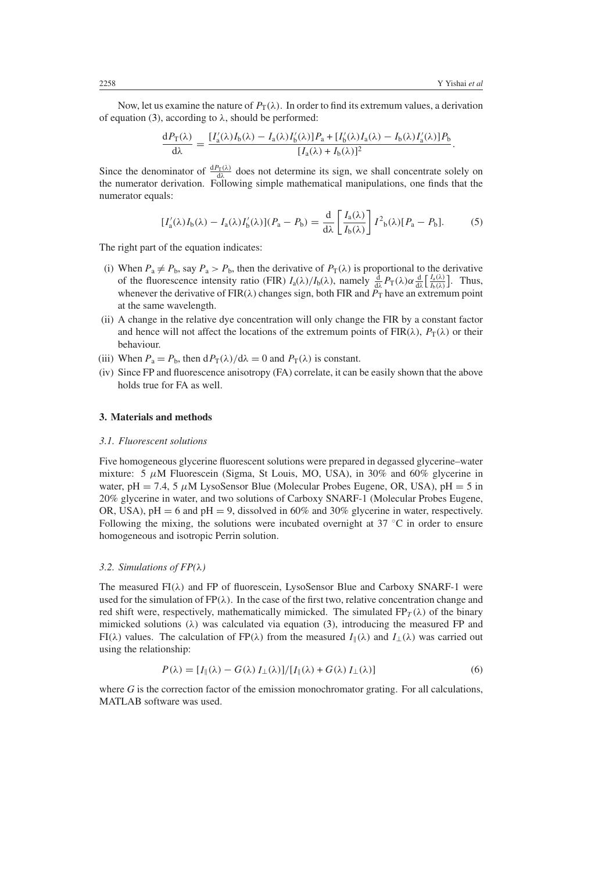Now, let us examine the nature of  $P_T(\lambda)$ . In order to find its extremum values, a derivation of equation [\(3\)](#page-2-0), according to  $\lambda$ , should be performed:

$$
\frac{dP_{\rm T}(\lambda)}{d\lambda} = \frac{[I'_{\rm a}(\lambda)I_{\rm b}(\lambda) - I_{\rm a}(\lambda)I'_{\rm b}(\lambda)]P_{\rm a} + [I'_{\rm b}(\lambda)I_{\rm a}(\lambda) - I_{\rm b}(\lambda)I'_{\rm a}(\lambda)]P_{\rm b}}{[I_{\rm a}(\lambda) + I_{\rm b}(\lambda)]^2}.
$$

Since the denominator of  $\frac{dP_T(\lambda)}{d\lambda}$  does not determine its sign, we shall concentrate solely on the numerator derivation. Following simple mathematical manipulations, one finds that the numerator equals:

$$
[I'_a(\lambda)I_b(\lambda) - I_a(\lambda)I'_b(\lambda)](P_a - P_b) = \frac{d}{d\lambda} \left[\frac{I_a(\lambda)}{I_b(\lambda)}\right]I^2{}_b(\lambda)[P_a - P_b].\tag{5}
$$

The right part of the equation indicates:

- (i) When  $P_a \neq P_b$ , say  $P_a > P_b$ , then the derivative of  $P_T(\lambda)$  is proportional to the derivative of the fluorescence intensity ratio (FIR)  $I_a(\lambda)/I_b(\lambda)$ , namely  $\frac{d}{d\lambda} P_T(\lambda) \alpha \frac{d}{d\lambda} \left[ \frac{I_a(\lambda)}{I_b(\lambda)} \right]$ . Thus, whenever the derivative of  $FIR(\lambda)$  changes sign, both FIR and  $P_T$  have an extremum point at the same wavelength.
- (ii) A change in the relative dye concentration will only change the FIR by a constant factor and hence will not affect the locations of the extremum points of  $FIR(\lambda)$ ,  $P_T(\lambda)$  or their behaviour.
- (iii) When  $P_a = P_b$ , then  $dP_T(\lambda)/d\lambda = 0$  and  $P_T(\lambda)$  is constant.
- (iv) Since FP and fluorescence anisotropy (FA) correlate, it can be easily shown that the above holds true for FA as well.

#### **3. Materials and methods**

#### *3.1. Fluorescent solutions*

Five homogeneous glycerine fluorescent solutions were prepared in degassed glycerine–water mixture: 5 *µ*M Fluorescein (Sigma, St Louis, MO, USA), in 30% and 60% glycerine in water, pH  $= 7.4$ , 5  $\mu$ M LysoSensor Blue (Molecular Probes Eugene, OR, USA), pH  $= 5$  in 20% glycerine in water, and two solutions of Carboxy SNARF-1 (Molecular Probes Eugene, OR, USA),  $pH = 6$  and  $pH = 9$ , dissolved in 60% and 30% glycerine in water, respectively. Following the mixing, the solutions were incubated overnight at  $37 \text{ °C}$  in order to ensure homogeneous and isotropic Perrin solution.

## *3.2. Simulations of FP(λ)*

The measured FI*(λ)* and FP of fluorescein, LysoSensor Blue and Carboxy SNARF-1 were used for the simulation of  $FP(\lambda)$ . In the case of the first two, relative concentration change and red shift were, respectively, mathematically mimicked. The simulated  $FP<sub>T</sub>(\lambda)$  of the binary mimicked solutions  $(\lambda)$  was calculated via equation [\(3\)](#page-2-0), introducing the measured FP and FI( $\lambda$ ) values. The calculation of FP( $\lambda$ ) from the measured *I*<sub>|</sub>( $\lambda$ ) and *I*<sub>|</sub>( $\lambda$ ) was carried out using the relationship:

$$
P(\lambda) = [I_{\parallel}(\lambda) - G(\lambda) I_{\perp}(\lambda)] / [I_{\parallel}(\lambda) + G(\lambda) I_{\perp}(\lambda)] \tag{6}
$$

where *G* is the correction factor of the emission monochromator grating. For all calculations, MATLAB software was used.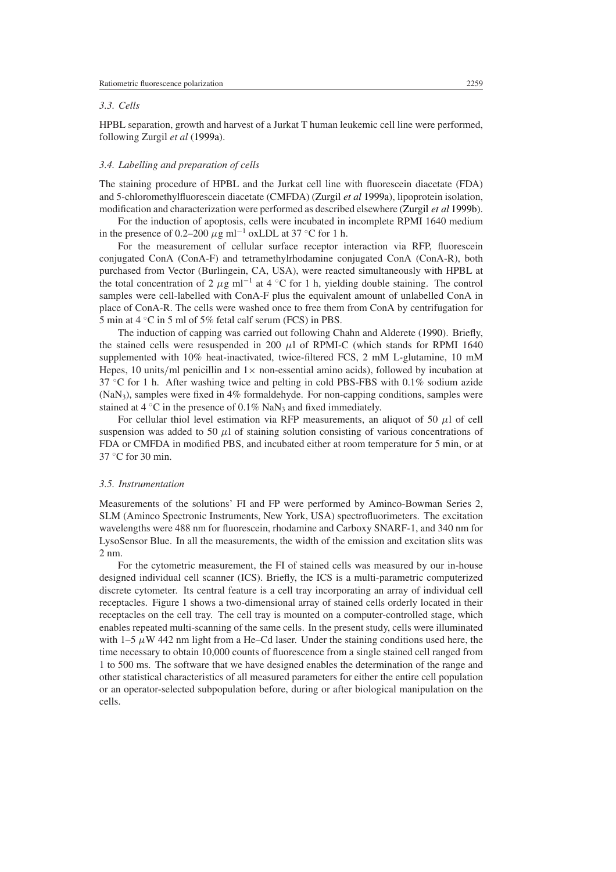#### *3.3. Cells*

HPBL separation, growth and harvest of a Jurkat T human leukemic cell line were performed, following Zurgil *et al* [\(1999a\)](#page-13-0).

#### *3.4. Labelling and preparation of cells*

The staining procedure of HPBL and the Jurkat cell line with fluorescein diacetate (FDA) and 5-chloromethylfluorescein diacetate (CMFDA) [\(Zurgil](#page-13-0) *et al* [1999a\)](#page-13-0), lipoprotein isolation, modification and characterization were performed as described elsewhere [\(Zurgil](#page-13-1) *et al* [1999b\)](#page-13-1).

For the induction of apoptosis, cells were incubated in incomplete RPMI 1640 medium in the presence of 0.2–200  $\mu$ g ml<sup>-1</sup> oxLDL at 37 °C for 1 h.

For the measurement of cellular surface receptor interaction via RFP, fluorescein conjugated ConA (ConA-F) and tetramethylrhodamine conjugated ConA (ConA-R), both purchased from Vector (Burlingein, CA, USA), were reacted simultaneously with HPBL at the total concentration of 2  $\mu$ g ml<sup>-1</sup> at 4 °C for 1 h, yielding double staining. The control samples were cell-labelled with ConA-F plus the equivalent amount of unlabelled ConA in place of ConA-R. The cells were washed once to free them from ConA by centrifugation for 5 min at 4 ℃ in 5 ml of 5% fetal calf serum (FCS) in PBS.

The induction of capping was carried out following Chahn and Alderete [\(1990](#page-12-8)). Briefly, the stained cells were resuspended in 200  $\mu$ l of RPMI-C (which stands for RPMI 1640 supplemented with 10% heat-inactivated, twice-filtered FCS, 2 mM L-glutamine, 10 mM Hepes, 10 units/ml penicillin and  $1 \times$  non-essential amino acids), followed by incubation at  $37 \text{ °C}$  for 1 h. After washing twice and pelting in cold PBS-FBS with 0.1% sodium azide  $(NaN<sub>3</sub>)$ , samples were fixed in 4% formaldehyde. For non-capping conditions, samples were stained at  $4 \degree C$  in the presence of 0.1% NaN<sub>3</sub> and fixed immediately.

For cellular thiol level estimation via RFP measurements, an aliquot of 50 *µ*l of cell suspension was added to 50  $\mu$ l of staining solution consisting of various concentrations of FDA or CMFDA in modified PBS, and incubated either at room temperature for 5 min, or at 37 ◦C for 30 min.

#### *3.5. Instrumentation*

Measurements of the solutions' FI and FP were performed by Aminco-Bowman Series 2, SLM (Aminco Spectronic Instruments, New York, USA) spectrofluorimeters. The excitation wavelengths were 488 nm for fluorescein, rhodamine and Carboxy SNARF-1, and 340 nm for LysoSensor Blue. In all the measurements, the width of the emission and excitation slits was 2 nm.

For the cytometric measurement, the FI of stained cells was measured by our in-house designed individual cell scanner (ICS). Briefly, the ICS is a multi-parametric computerized discrete cytometer. Its central feature is a cell tray incorporating an array of individual cell receptacles. Figure [1](#page-5-0) shows a two-dimensional array of stained cells orderly located in their receptacles on the cell tray. The cell tray is mounted on a computer-controlled stage, which enables repeated multi-scanning of the same cells. In the present study, cells were illuminated with  $1-5 \mu W$  442 nm light from a He–Cd laser. Under the staining conditions used here, the time necessary to obtain 10,000 counts of fluorescence from a single stained cell ranged from 1 to 500 ms. The software that we have designed enables the determination of the range and other statistical characteristics of all measured parameters for either the entire cell population or an operator-selected subpopulation before, during or after biological manipulation on the cells.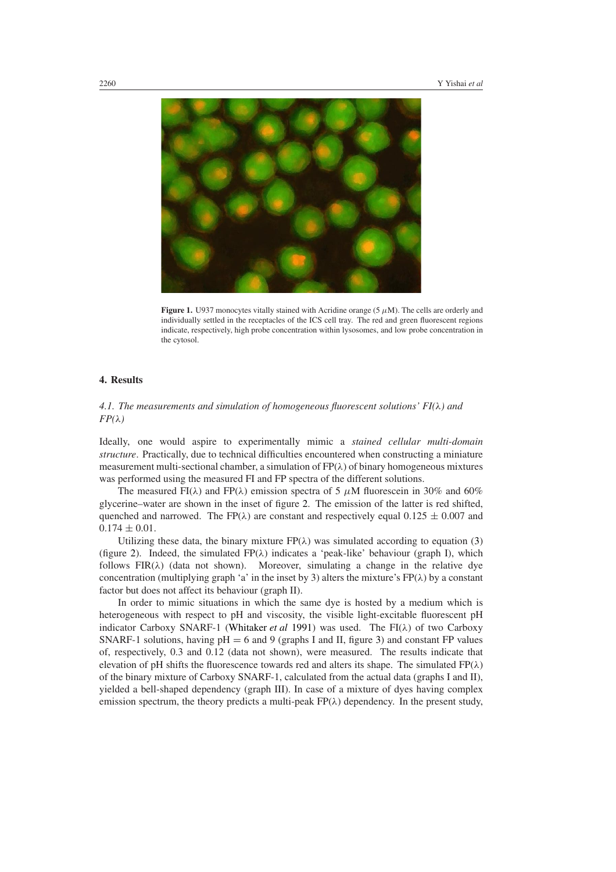

**Figure 1.** U937 monocytes vitally stained with Acridine orange (5 *µ*M). The cells are orderly and individually settled in the receptacles of the ICS cell tray. The red and green fluorescent regions indicate, respectively, high probe concentration within lysosomes, and low probe concentration in the cytosol.

## <span id="page-5-0"></span>**4. Results**

## *4.1. The measurements and simulation of homogeneous fluorescent solutions' FI(λ) and*  $FP(\lambda)$

Ideally, one would aspire to experimentally mimic a *stained cellular multi-domain structure*. Practically, due to technical difficulties encountered when constructing a miniature measurement multi-sectional chamber, a simulation of  $FP(\lambda)$  of binary homogeneous mixtures was performed using the measured FI and FP spectra of the different solutions.

The measured FI( $\lambda$ ) and FP( $\lambda$ ) emission spectra of 5  $\mu$ M fluorescein in 30% and 60% glycerine–water are shown in the inset of figure [2.](#page-6-0) The emission of the latter is red shifted, quenched and narrowed. The FP( $\lambda$ ) are constant and respectively equal 0.125  $\pm$  0.007 and  $0.174 \pm 0.01$ .

Utilizing these data, the binary mixture  $FP(\lambda)$  was simulated according to equation [\(3\)](#page-2-0) (figure [2\)](#page-6-0). Indeed, the simulated  $FP(\lambda)$  indicates a 'peak-like' behaviour (graph I), which follows FIR(*λ*) (data not shown). Moreover, simulating a change in the relative dye concentration (multiplying graph 'a' in the inset by 3) alters the mixture's  $FP(\lambda)$  by a constant factor but does not affect its behaviour (graph II).

In order to mimic situations in which the same dye is hosted by a medium which is heterogeneous with respect to pH and viscosity, the visible light-excitable fluorescent pH indicator Carboxy SNARF-1 [\(Whitaker](#page-12-9) *et al* [1991\)](#page-12-9) was used. The FI(*λ*) of two Carboxy SNARF-1 solutions, having  $pH = 6$  and 9 (graphs I and II, figure [3\)](#page-6-1) and constant FP values of, respectively, 0.3 and 0.12 (data not shown), were measured. The results indicate that elevation of pH shifts the fluorescence towards red and alters its shape. The simulated  $FP(\lambda)$ of the binary mixture of Carboxy SNARF-1, calculated from the actual data (graphs I and II), yielded a bell-shaped dependency (graph III). In case of a mixture of dyes having complex emission spectrum, the theory predicts a multi-peak  $FP(\lambda)$  dependency. In the present study,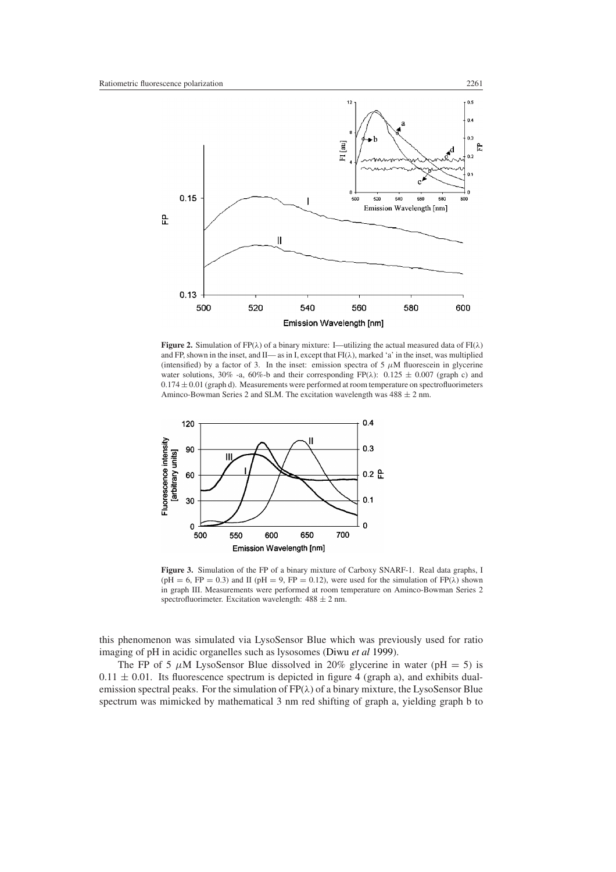

<span id="page-6-0"></span>**Figure 2.** Simulation of FP(*λ*) of a binary mixture: I—utilizing the actual measured data of FI(*λ*) and FP, shown in the inset, and II— as in I, except that  $FI(\lambda)$ , marked 'a' in the inset, was multiplied (intensified) by a factor of 3. In the inset: emission spectra of 5  $\mu$ M fluorescein in glycerine water solutions, 30% -a, 60%-b and their corresponding FP( $\lambda$ ): 0.125  $\pm$  0.007 (graph c) and  $0.174 \pm 0.01$  (graph d). Measurements were performed at room temperature on spectrofluorimeters Aminco-Bowman Series 2 and SLM. The excitation wavelength was  $488 \pm 2$  nm.



<span id="page-6-1"></span>**Figure 3.** Simulation of the FP of a binary mixture of Carboxy SNARF-1. Real data graphs, I  $(pH = 6, FP = 0.3)$  and II ( $pH = 9$ ,  $FP = 0.12$ ), were used for the simulation of  $FP(\lambda)$  shown in graph III. Measurements were performed at room temperature on Aminco-Bowman Series 2 spectrofluorimeter. Excitation wavelength:  $488 \pm 2$  nm.

this phenomenon was simulated via LysoSensor Blue which was previously used for ratio imaging of pH in acidic organelles such as lysosomes [\(Diwu](#page-12-10) *et al* [1999\)](#page-12-10).

The FP of 5  $\mu$ M LysoSensor Blue dissolved in 20% glycerine in water (pH = 5) is  $0.11 \pm 0.01$ . Its fluorescence spectrum is depicted in figure [4](#page-7-0) (graph a), and exhibits dualemission spectral peaks. For the simulation of  $FP(\lambda)$  of a binary mixture, the LysoSensor Blue spectrum was mimicked by mathematical 3 nm red shifting of graph a, yielding graph b to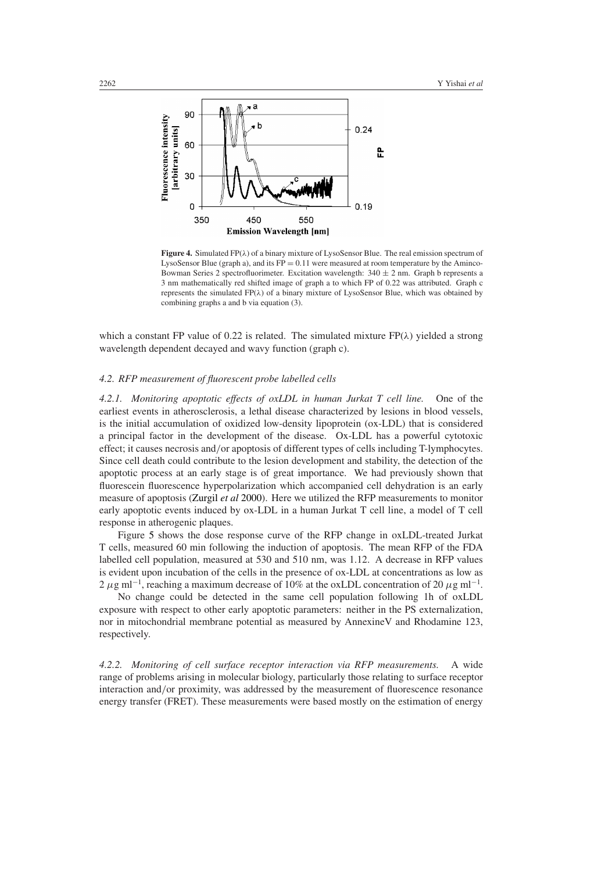

<span id="page-7-0"></span>**Figure 4.** Simulated FP(*λ*) of a binary mixture of LysoSensor Blue. The real emission spectrum of LysoSensor Blue (graph a), and its  $FP = 0.11$  were measured at room temperature by the Aminco-Bowman Series 2 spectrofluorimeter. Excitation wavelength:  $340 \pm 2$  nm. Graph b represents a 3 nm mathematically red shifted image of graph a to which FP of 0.22 was attributed. Graph c represents the simulated FP(*λ*) of a binary mixture of LysoSensor Blue, which was obtained by combining graphs a and b via equation (3).

which a constant FP value of 0.22 is related. The simulated mixture FP(*λ*) yielded a strong wavelength dependent decayed and wavy function (graph c).

## *4.2. RFP measurement of fluorescent probe labelled cells*

*4.2.1. Monitoring apoptotic effects of oxLDL in human Jurkat T cell line.* One of the earliest events in atherosclerosis, a lethal disease characterized by lesions in blood vessels, is the initial accumulation of oxidized low-density lipoprotein (ox-LDL) that is considered a principal factor in the development of the disease. Ox-LDL has a powerful cytotoxic effect; it causes necrosis and*/*or apoptosis of different types of cells including T-lymphocytes. Since cell death could contribute to the lesion development and stability, the detection of the apoptotic process at an early stage is of great importance. We had previously shown that fluorescein fluorescence hyperpolarization which accompanied cell dehydration is an early measure of apoptosis [\(Zurgil](#page-13-2) *et al* [2000\)](#page-13-2). Here we utilized the RFP measurements to monitor early apoptotic events induced by ox-LDL in a human Jurkat T cell line, a model of T cell response in atherogenic plaques.

Figure [5](#page-8-0) shows the dose response curve of the RFP change in oxLDL-treated Jurkat T cells, measured 60 min following the induction of apoptosis. The mean RFP of the FDA labelled cell population, measured at 530 and 510 nm, was 1.12. A decrease in RFP values is evident upon incubation of the cells in the presence of ox-LDL at concentrations as low as 2 μg ml<sup>-1</sup>, reaching a maximum decrease of 10% at the oxLDL concentration of 20 μg ml<sup>-1</sup>.

No change could be detected in the same cell population following 1h of oxLDL exposure with respect to other early apoptotic parameters: neither in the PS externalization, nor in mitochondrial membrane potential as measured by AnnexineV and Rhodamine 123, respectively.

*4.2.2. Monitoring of cell surface receptor interaction via RFP measurements.* A wide range of problems arising in molecular biology, particularly those relating to surface receptor interaction and*/*or proximity, was addressed by the measurement of fluorescence resonance energy transfer (FRET). These measurements were based mostly on the estimation of energy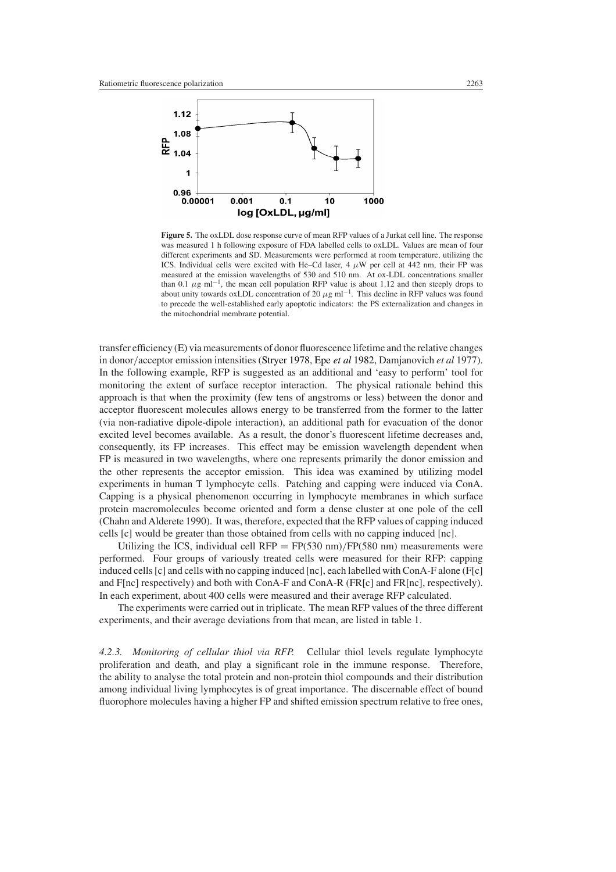

<span id="page-8-0"></span>**Figure 5.** The oxLDL dose response curve of mean RFP values of a Jurkat cell line. The response was measured 1 h following exposure of FDA labelled cells to oxLDL. Values are mean of four different experiments and SD. Measurements were performed at room temperature, utilizing the ICS. Individual cells were excited with He–Cd laser,  $4 \mu W$  per cell at 442 nm, their FP was measured at the emission wavelengths of 530 and 510 nm. At ox-LDL concentrations smaller than 0.1  $\mu$ g ml<sup>-1</sup>, the mean cell population RFP value is about 1.12 and then steeply drops to about unity towards oxLDL concentration of 20 *µ*g ml−1. This decline in RFP values was found to precede the well-established early apoptotic indicators: the PS externalization and changes in the mitochondrial membrane potential.

transfer efficiency (E) via measurements of donor fluorescence lifetime and the relative changes in donor*/*acceptor emission intensities [\(Stryer 1978](#page-12-11), Epe *[et al](#page-12-12)* [1982](#page-12-12), Damjanovich *et al* 1977). In the following example, RFP is suggested as an additional and 'easy to perform' tool for monitoring the extent of surface receptor interaction. The physical rationale behind this approach is that when the proximity (few tens of angstroms or less) between the donor and acceptor fluorescent molecules allows energy to be transferred from the former to the latter (via non-radiative dipole-dipole interaction), an additional path for evacuation of the donor excited level becomes available. As a result, the donor's fluorescent lifetime decreases and, consequently, its FP increases. This effect may be emission wavelength dependent when FP is measured in two wavelengths, where one represents primarily the donor emission and the other represents the acceptor emission. This idea was examined by utilizing model experiments in human T lymphocyte cells. Patching and capping were induced via ConA. Capping is a physical phenomenon occurring in lymphocyte membranes in which surface protein macromolecules become oriented and form a dense cluster at one pole of the cell (Chahn and Alderete 1990). It was, therefore, expected that the RFP values of capping induced cells [c] would be greater than those obtained from cells with no capping induced [nc].

Utilizing the ICS, individual cell RFP = FP(530 nm)*/*FP(580 nm) measurements were performed. Four groups of variously treated cells were measured for their RFP: capping induced cells [c] and cells with no capping induced [nc], each labelled with ConA-F alone (F[c] and F[nc] respectively) and both with ConA-F and ConA-R (FR[c] and FR[nc], respectively). In each experiment, about 400 cells were measured and their average RFP calculated.

The experiments were carried out in triplicate. The mean RFP values of the three different experiments, and their average deviations from that mean, are listed in table [1.](#page-9-0)

*4.2.3. Monitoring of cellular thiol via RFP.* Cellular thiol levels regulate lymphocyte proliferation and death, and play a significant role in the immune response. Therefore, the ability to analyse the total protein and non-protein thiol compounds and their distribution among individual living lymphocytes is of great importance. The discernable effect of bound fluorophore molecules having a higher FP and shifted emission spectrum relative to free ones,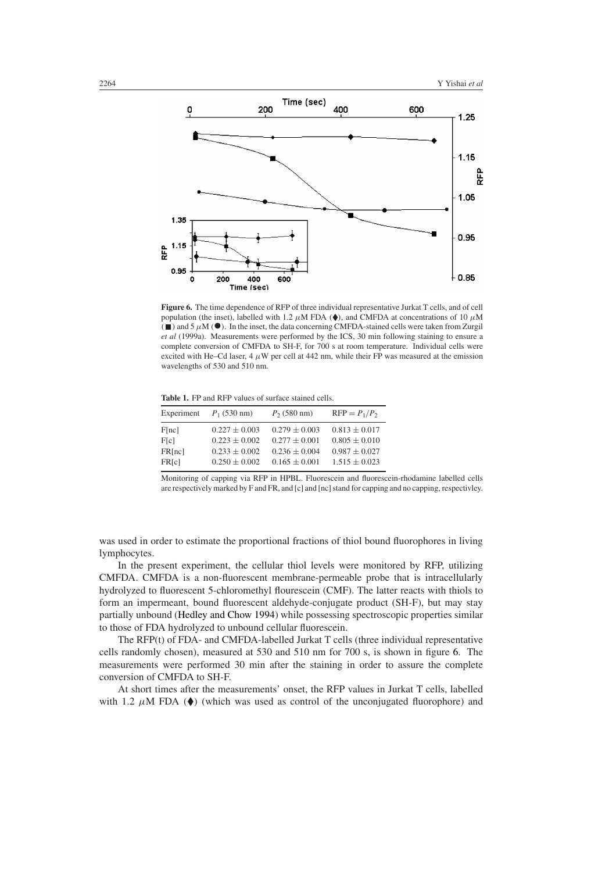

<span id="page-9-1"></span>**Figure 6.** The time dependence of RFP of three individual representative Jurkat T cells, and of cell population (the inset), labelled with 1.2  $\mu$ M FDA  $(\diamondsuit)$ , and CMFDA at concentrations of 10  $\mu$ M  $(\blacksquare)$  and 5  $\mu$ M  $(\lozenge)$ . In the inset, the data concerning CMFDA-stained cells were taken from Zurgil *et al* (1999a). Measurements were performed by the ICS, 30 min following staining to ensure a complete conversion of CMFDA to SH-F, for 700 s at room temperature. Individual cells were excited with He–Cd laser, 4  $\mu$ W per cell at 442 nm, while their FP was measured at the emission wavelengths of 530 and 510 nm.

**Table 1.** FP and RFP values of surface stained cells.

<span id="page-9-0"></span>

| Experiment      | $P_1$ (530 nm)    | $P_2$ (580 nm)    | $RFP = P_1/P_2$   |
|-----------------|-------------------|-------------------|-------------------|
| F[nc]           | $0.227 \pm 0.003$ | $0.279 \pm 0.003$ | $0.813 \pm 0.017$ |
| F <sub>Ic</sub> | $0.223 \pm 0.002$ | $0.277 \pm 0.001$ | $0.805 \pm 0.010$ |
| FR[nc]          | $0.233 \pm 0.002$ | $0.236 \pm 0.004$ | $0.987 \pm 0.027$ |
| FR[c]           | $0.250 \pm 0.002$ | $0.165 \pm 0.001$ | $1.515 \pm 0.023$ |

Monitoring of capping via RFP in HPBL. Fluorescein and fluorescein-rhodamine labelled cells are respectively marked by F and FR, and [c] and [nc] stand for capping and no capping, respectivley.

was used in order to estimate the proportional fractions of thiol bound fluorophores in living lymphocytes.

In the present experiment, the cellular thiol levels were monitored by RFP, utilizing CMFDA. CMFDA is a non-fluorescent membrane-permeable probe that is intracellularly hydrolyzed to fluorescent 5-chloromethyl flourescein (CMF). The latter reacts with thiols to form an impermeant, bound fluorescent aldehyde-conjugate product (SH-F), but may stay partially unbound [\(Hedley and Chow 1994\)](#page-12-13) while possessing spectroscopic properties similar to those of FDA hydrolyzed to unbound cellular fluorescein.

The RFP(t) of FDA- and CMFDA-labelled Jurkat T cells (three individual representative cells randomly chosen), measured at 530 and 510 nm for 700 s, is shown in figure [6.](#page-9-1) The measurements were performed 30 min after the staining in order to assure the complete conversion of CMFDA to SH-F.

At short times after the measurements' onset, the RFP values in Jurkat T cells, labelled with 1.2  $\mu$ M FDA  $(\bullet)$  (which was used as control of the unconjugated fluorophore) and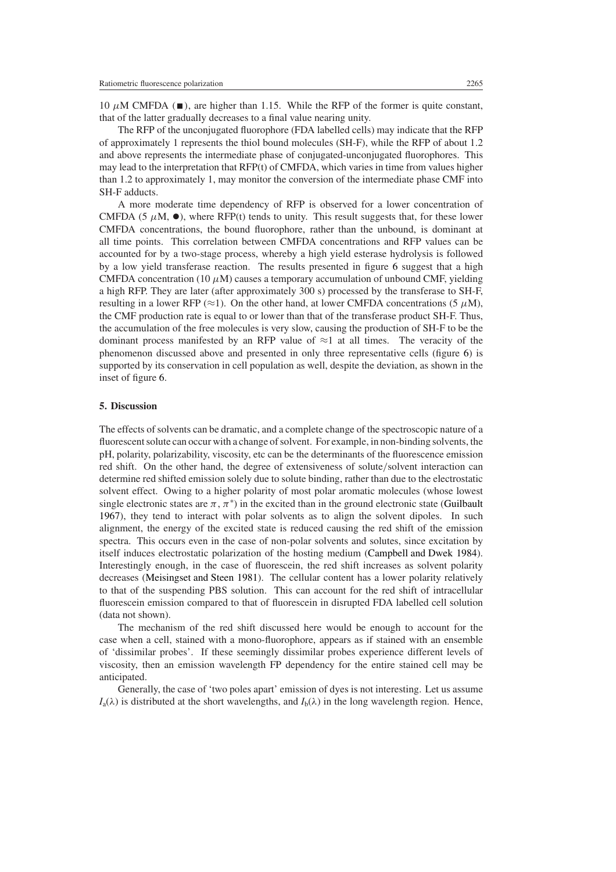10  $\mu$ M CMFDA ( $\blacksquare$ ), are higher than 1.15. While the RFP of the former is quite constant, that of the latter gradually decreases to a final value nearing unity.

The RFP of the unconjugated fluorophore (FDA labelled cells) may indicate that the RFP of approximately 1 represents the thiol bound molecules (SH-F), while the RFP of about 1.2 and above represents the intermediate phase of conjugated-unconjugated fluorophores. This may lead to the interpretation that RFP(t) of CMFDA, which varies in time from values higher than 1.2 to approximately 1, may monitor the conversion of the intermediate phase CMF into SH-F adducts.

A more moderate time dependency of RFP is observed for a lower concentration of CMFDA (5  $\mu$ M,  $\bullet$ ), where RFP(t) tends to unity. This result suggests that, for these lower CMFDA concentrations, the bound fluorophore, rather than the unbound, is dominant at all time points. This correlation between CMFDA concentrations and RFP values can be accounted for by a two-stage process, whereby a high yield esterase hydrolysis is followed by a low yield transferase reaction. The results presented in figure [6](#page-9-1) suggest that a high CMFDA concentration (10  $\mu$ M) causes a temporary accumulation of unbound CMF, vielding a high RFP. They are later (after approximately 300 s) processed by the transferase to SH-F, resulting in a lower RFP ( $\approx$ 1). On the other hand, at lower CMFDA concentrations (5  $\mu$ M), the CMF production rate is equal to or lower than that of the transferase product SH-F. Thus, the accumulation of the free molecules is very slow, causing the production of SH-F to be the dominant process manifested by an RFP value of  $\approx$ 1 at all times. The veracity of the phenomenon discussed above and presented in only three representative cells (figure [6\)](#page-9-1) is supported by its conservation in cell population as well, despite the deviation, as shown in the inset of figure [6.](#page-9-1)

#### **5. Discussion**

The effects of solvents can be dramatic, and a complete change of the spectroscopic nature of a fluorescent solute can occur with a change of solvent. For example, in non-binding solvents, the pH, polarity, polarizability, viscosity, etc can be the determinants of the fluorescence emission red shift. On the other hand, the degree of extensiveness of solute*/*solvent interaction can determine red shifted emission solely due to solute binding, rather than due to the electrostatic solvent effect. Owing to a higher polarity of most polar aromatic molecules (whose lowest single electronic states are  $\pi$ ,  $\pi$ <sup>\*</sup>) in the excited than in the ground electronic state [\(Guilbault](#page-12-14) [1967\)](#page-12-14), they tend to interact with polar solvents as to align the solvent dipoles. In such alignment, the energy of the excited state is reduced causing the red shift of the emission spectra. This occurs even in the case of non-polar solvents and solutes, since excitation by itself induces electrostatic polarization of the hosting medium [\(Campbell and Dwek 1984\)](#page-12-15). Interestingly enough, in the case of fluorescein, the red shift increases as solvent polarity decreases [\(Meisingset and Steen 1981](#page-12-16)). The cellular content has a lower polarity relatively to that of the suspending PBS solution. This can account for the red shift of intracellular fluorescein emission compared to that of fluorescein in disrupted FDA labelled cell solution (data not shown).

The mechanism of the red shift discussed here would be enough to account for the case when a cell, stained with a mono-fluorophore, appears as if stained with an ensemble of 'dissimilar probes'. If these seemingly dissimilar probes experience different levels of viscosity, then an emission wavelength FP dependency for the entire stained cell may be anticipated.

Generally, the case of 'two poles apart' emission of dyes is not interesting. Let us assume  $I_a(\lambda)$  is distributed at the short wavelengths, and  $I_b(\lambda)$  in the long wavelength region. Hence,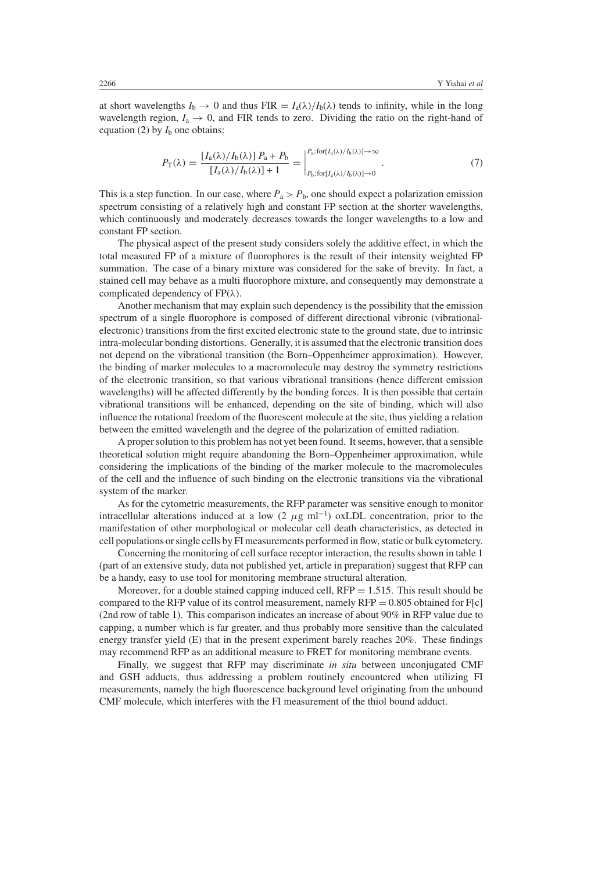at short wavelengths  $I_b \rightarrow 0$  and thus FIR =  $I_a(\lambda)/I_b(\lambda)$  tends to infinity, while in the long wavelength region,  $I_a \rightarrow 0$ , and FIR tends to zero. Dividing the ratio on the right-hand of equation [\(2\)](#page-2-1) by  $I<sub>b</sub>$  one obtains:

$$
P_{\mathcal{T}}(\lambda) = \frac{[I_{\mathbf{a}}(\lambda)/I_{\mathbf{b}}(\lambda)] P_{\mathbf{a}} + P_{\mathbf{b}}}{[I_{\mathbf{a}}(\lambda)/I_{\mathbf{b}}(\lambda)] + 1} = \Big|_{P_{\mathbf{b}}; \text{for}[I_{\mathbf{a}}(\lambda)/I_{\mathbf{b}}(\lambda)] \to 0}^{P_{\mathbf{a}}; \text{for}[I_{\mathbf{a}}(\lambda)/I_{\mathbf{b}}(\lambda)] \to \infty}.
$$
 (7)

This is a step function. In our case, where  $P_a > P_b$ , one should expect a polarization emission spectrum consisting of a relatively high and constant FP section at the shorter wavelengths, which continuously and moderately decreases towards the longer wavelengths to a low and constant FP section.

The physical aspect of the present study considers solely the additive effect, in which the total measured FP of a mixture of fluorophores is the result of their intensity weighted FP summation. The case of a binary mixture was considered for the sake of brevity. In fact, a stained cell may behave as a multi fluorophore mixture, and consequently may demonstrate a complicated dependency of FP(*λ*).

Another mechanism that may explain such dependency is the possibility that the emission spectrum of a single fluorophore is composed of different directional vibronic (vibrationalelectronic) transitions from the first excited electronic state to the ground state, due to intrinsic intra-molecular bonding distortions. Generally, it is assumed that the electronic transition does not depend on the vibrational transition (the Born–Oppenheimer approximation). However, the binding of marker molecules to a macromolecule may destroy the symmetry restrictions of the electronic transition, so that various vibrational transitions (hence different emission wavelengths) will be affected differently by the bonding forces. It is then possible that certain vibrational transitions will be enhanced, depending on the site of binding, which will also influence the rotational freedom of the fluorescent molecule at the site, thus yielding a relation between the emitted wavelength and the degree of the polarization of emitted radiation.

A proper solution to this problem has not yet been found. It seems, however, that a sensible theoretical solution might require abandoning the Born–Oppenheimer approximation, while considering the implications of the binding of the marker molecule to the macromolecules of the cell and the influence of such binding on the electronic transitions via the vibrational system of the marker.

As for the cytometric measurements, the RFP parameter was sensitive enough to monitor intracellular alterations induced at a low  $(2 \mu g \text{ ml}^{-1})$  oxLDL concentration, prior to the manifestation of other morphological or molecular cell death characteristics, as detected in cell populations or single cells by FI measurements performed in flow, static or bulk cytometery.

Concerning the monitoring of cell surface receptor interaction, the results shown in table [1](#page-9-0) (part of an extensive study, data not published yet, article in preparation) suggest that RFP can be a handy, easy to use tool for monitoring membrane structural alteration.

Moreover, for a double stained capping induced cell,  $RFP = 1.515$ . This result should be compared to the RFP value of its control measurement, namely  $RFP = 0.805$  obtained for  $F[c]$ (2nd row of table [1\)](#page-9-0). This comparison indicates an increase of about 90% in RFP value due to capping, a number which is far greater, and thus probably more sensitive than the calculated energy transfer yield (E) that in the present experiment barely reaches 20%. These findings may recommend RFP as an additional measure to FRET for monitoring membrane events.

Finally, we suggest that RFP may discriminate *in situ* between unconjugated CMF and GSH adducts, thus addressing a problem routinely encountered when utilizing FI measurements, namely the high fluorescence background level originating from the unbound CMF molecule, which interferes with the FI measurement of the thiol bound adduct.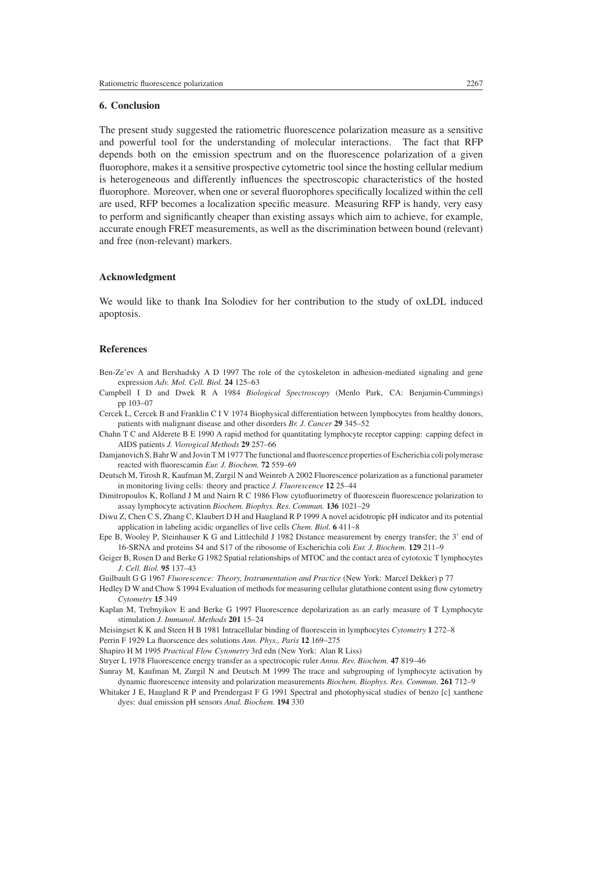## **6. Conclusion**

The present study suggested the ratiometric fluorescence polarization measure as a sensitive and powerful tool for the understanding of molecular interactions. The fact that RFP depends both on the emission spectrum and on the fluorescence polarization of a given fluorophore, makes it a sensitive prospective cytometric tool since the hosting cellular medium is heterogeneous and differently influences the spectroscopic characteristics of the hosted fluorophore. Moreover, when one or several fluorophores specifically localized within the cell are used, RFP becomes a localization specific measure. Measuring RFP is handy, very easy to perform and significantly cheaper than existing assays which aim to achieve, for example, accurate enough FRET measurements, as well as the discrimination between bound (relevant) and free (non-relevant) markers.

## **Acknowledgment**

We would like to thank Ina Solodiev for her contribution to the study of oxLDL induced apoptosis.

#### **References**

Ben-Ze'ev A and Bershadsky A D 1997 The role of the cytoskeleton in adhesion-mediated signaling and gene expression *Adv. Mol. Cell. Biol.* **24** 125–63

- <span id="page-12-15"></span>Campbell I D and Dwek R A 1984 *Biological Spectroscopy* (Menlo Park, CA: Benjamin-Cummings) pp 103–07
- <span id="page-12-0"></span>Cercek L, Cercek B and Franklin C I V 1974 Biophysical differentiation between lymphocytes from healthy donors, patients with malignant disease and other disorders *Br. J. Cancer* **29** 345–52

<span id="page-12-8"></span>Chahn T C and Alderete B E 1990 A rapid method for quantitating lymphocyte receptor capping: capping defect in AIDS patients *J. Viorogical Methods* **29** 257–66

Damjanovich S, Bahr W and Jovin T M 1977 The functional and fluorescence properties of Escherichia coli polymerase reacted with fluorescamin *Eur. J. Biochem.* **72** 559–69

<span id="page-12-7"></span>Deutsch M, Tirosh R, Kaufman M, Zurgil N and Weinreb A 2002 Fluorescence polarization as a functional parameter in monitoring living cells: theory and practice *J. Fluorescence* **12** 25–44

<span id="page-12-4"></span>Dimitropoulos K, Rolland J M and Nairn R C 1986 Flow cytofluorimetry of fluorescein fluorescence polarization to assay lymphocyte activation *Biochem. Biophys. Res. Commun.* **136** 1021–29

<span id="page-12-10"></span>Diwu Z, Chen C S, Zhang C, Klaubert D H and Haugland R P 1999 A novel acidotropic pH indicator and its potential application in labeling acidic organelles of live cells *Chem. Biol.* **6** 411–8

<span id="page-12-12"></span>Epe B, Wooley P, Steinhauser K G and Littlechild J 1982 Distance measurement by energy transfer; the 3' end of 16-SRNA and proteins S4 and S17 of the ribosome of Escherichia coli *Eur. J. Biochem.* **129** 211–9

<span id="page-12-2"></span>Geiger B, Rosen D and Berke G 1982 Spatial relationships of MTOC and the contact area of cytotoxic T lymphocytes *J. Cell. Biol.* **95** 137–43

<span id="page-12-14"></span>Guilbault G G 1967 *Fluorescence: Theory, Instrumentation and Practice* (New York: Marcel Dekker) p 77

<span id="page-12-13"></span>Hedley D W and Chow S 1994 Evaluation of methods for measuring cellular glutathione content using flow cytometry *Cytometry* **15** 349

<span id="page-12-5"></span>Kaplan M, Trebnyikov E and Berke G 1997 Fluorescence depolarization as an early measure of T Lymphocyte stimulation *J. Immunol. Methods* **201** 15–24

<span id="page-12-16"></span>Meisingset K K and Steen H B 1981 Intracellular binding of fluorescein in lymphocytes *Cytometry* **1** 272–8

<span id="page-12-6"></span>Perrin F 1929 La fluorscence des solutions *Ann. Phys., Paris* **12** 169–275

<span id="page-12-1"></span>Shapiro H M 1995 *Practical Flow Cytometry* 3rd edn (New York: Alan R Liss)

<span id="page-12-11"></span>Stryer L 1978 Fluorescence energy transfer as a spectrocopic ruler *Annu. Rev. Biochem.* **47** 819–46

<span id="page-12-3"></span>Sunray M, Kaufman M, Zurgil N and Deutsch M 1999 The trace and subgrouping of lymphocyte activation by dynamic fluorescence intensity and polarization measurements *Biochem. Biophys. Res. Commun.* **261** 712–9

<span id="page-12-9"></span>Whitaker J E, Haugland R P and Prendergast F G 1991 Spectral and photophysical studies of benzo [c] xanthene dyes: dual emission pH sensors *Anal. Biochem.* **194** 330